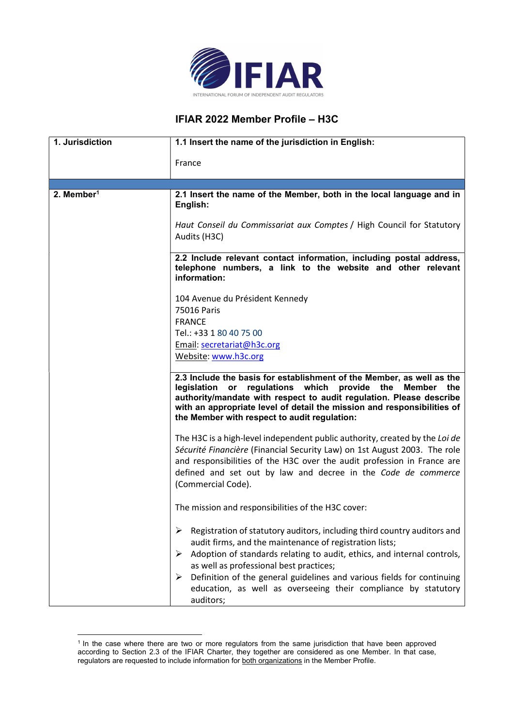

## IFIAR 2022 Member Profile – H3C

| 1. Jurisdiction        | 1.1 Insert the name of the jurisdiction in English:                                                                                                                                                                                                                                                                                                                                                                                           |
|------------------------|-----------------------------------------------------------------------------------------------------------------------------------------------------------------------------------------------------------------------------------------------------------------------------------------------------------------------------------------------------------------------------------------------------------------------------------------------|
|                        | France                                                                                                                                                                                                                                                                                                                                                                                                                                        |
|                        |                                                                                                                                                                                                                                                                                                                                                                                                                                               |
| 2. Member <sup>1</sup> | 2.1 Insert the name of the Member, both in the local language and in<br>English:                                                                                                                                                                                                                                                                                                                                                              |
|                        | Haut Conseil du Commissariat aux Comptes / High Council for Statutory<br>Audits (H3C)                                                                                                                                                                                                                                                                                                                                                         |
|                        | 2.2 Include relevant contact information, including postal address,<br>telephone numbers, a link to the website and other relevant<br>information:                                                                                                                                                                                                                                                                                            |
|                        | 104 Avenue du Président Kennedy<br>75016 Paris                                                                                                                                                                                                                                                                                                                                                                                                |
|                        | <b>FRANCE</b>                                                                                                                                                                                                                                                                                                                                                                                                                                 |
|                        | Tel.: +33 1 80 40 75 00                                                                                                                                                                                                                                                                                                                                                                                                                       |
|                        | Email: secretariat@h3c.org<br>Website: www.h3c.org                                                                                                                                                                                                                                                                                                                                                                                            |
|                        | 2.3 Include the basis for establishment of the Member, as well as the<br>regulations which<br>provide the Member the<br>legislation<br>$\mathsf{or}$<br>authority/mandate with respect to audit regulation. Please describe<br>with an appropriate level of detail the mission and responsibilities of<br>the Member with respect to audit regulation:                                                                                        |
|                        | The H3C is a high-level independent public authority, created by the Loi de<br>Sécurité Financière (Financial Security Law) on 1st August 2003. The role<br>and responsibilities of the H3C over the audit profession in France are<br>defined and set out by law and decree in the Code de commerce<br>(Commercial Code).                                                                                                                    |
|                        | The mission and responsibilities of the H3C cover:                                                                                                                                                                                                                                                                                                                                                                                            |
|                        | Registration of statutory auditors, including third country auditors and<br>➤<br>audit firms, and the maintenance of registration lists;<br>$\triangleright$ Adoption of standards relating to audit, ethics, and internal controls,<br>as well as professional best practices;<br>Definition of the general guidelines and various fields for continuing<br>➤<br>education, as well as overseeing their compliance by statutory<br>auditors; |

<sup>&</sup>lt;sup>1</sup> In the case where there are two or more regulators from the same jurisdiction that have been approved according to Section 2.3 of the IFIAR Charter, they together are considered as one Member. In that case, regulators are requested to include information for both organizations in the Member Profile.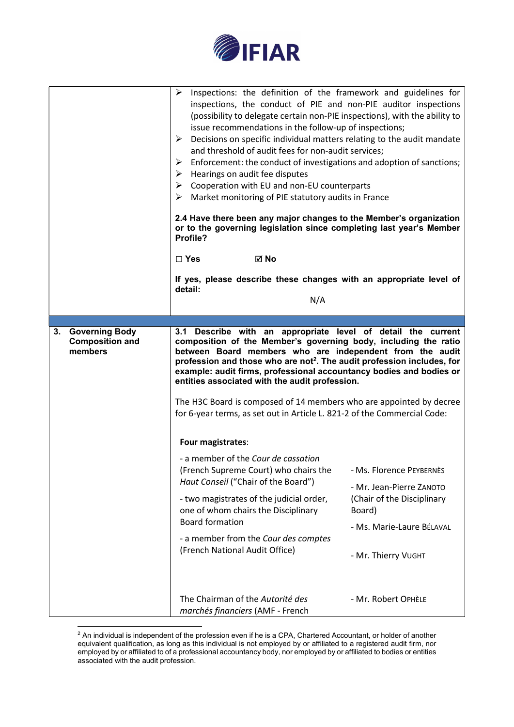

|                                                                  | Inspections: the definition of the framework and guidelines for<br>➤<br>inspections, the conduct of PIE and non-PIE auditor inspections<br>(possibility to delegate certain non-PIE inspections), with the ability to<br>issue recommendations in the follow-up of inspections;<br>Decisions on specific individual matters relating to the audit mandate<br>➤<br>and threshold of audit fees for non-audit services;<br>Enforcement: the conduct of investigations and adoption of sanctions;<br>➤<br>Hearings on audit fee disputes<br>➤<br>Cooperation with EU and non-EU counterparts<br>➤<br>Market monitoring of PIE statutory audits in France<br>⋗ |                                      |
|------------------------------------------------------------------|------------------------------------------------------------------------------------------------------------------------------------------------------------------------------------------------------------------------------------------------------------------------------------------------------------------------------------------------------------------------------------------------------------------------------------------------------------------------------------------------------------------------------------------------------------------------------------------------------------------------------------------------------------|--------------------------------------|
|                                                                  | 2.4 Have there been any major changes to the Member's organization<br>or to the governing legislation since completing last year's Member<br>Profile?                                                                                                                                                                                                                                                                                                                                                                                                                                                                                                      |                                      |
|                                                                  | <b>⊠</b> No<br>$\Box$ Yes                                                                                                                                                                                                                                                                                                                                                                                                                                                                                                                                                                                                                                  |                                      |
|                                                                  | If yes, please describe these changes with an appropriate level of<br>detail:                                                                                                                                                                                                                                                                                                                                                                                                                                                                                                                                                                              |                                      |
|                                                                  | N/A                                                                                                                                                                                                                                                                                                                                                                                                                                                                                                                                                                                                                                                        |                                      |
|                                                                  |                                                                                                                                                                                                                                                                                                                                                                                                                                                                                                                                                                                                                                                            |                                      |
| <b>Governing Body</b><br>3.<br><b>Composition and</b><br>members | 3.1 Describe with an appropriate level of detail the current<br>composition of the Member's governing body, including the ratio<br>between Board members who are independent from the audit<br>profession and those who are not <sup>2</sup> . The audit profession includes, for<br>example: audit firms, professional accountancy bodies and bodies or<br>entities associated with the audit profession.<br>The H3C Board is composed of 14 members who are appointed by decree<br>for 6-year terms, as set out in Article L. 821-2 of the Commercial Code:                                                                                              |                                      |
|                                                                  | Four magistrates:                                                                                                                                                                                                                                                                                                                                                                                                                                                                                                                                                                                                                                          |                                      |
|                                                                  |                                                                                                                                                                                                                                                                                                                                                                                                                                                                                                                                                                                                                                                            |                                      |
|                                                                  | - a member of the Cour de cassation<br>(French Supreme Court) who chairs the                                                                                                                                                                                                                                                                                                                                                                                                                                                                                                                                                                               | - Ms. Florence PEYBERNÈS             |
|                                                                  | Haut Conseil ("Chair of the Board")                                                                                                                                                                                                                                                                                                                                                                                                                                                                                                                                                                                                                        | - Mr. Jean-Pierre ZANOTO             |
|                                                                  | - two magistrates of the judicial order,<br>one of whom chairs the Disciplinary                                                                                                                                                                                                                                                                                                                                                                                                                                                                                                                                                                            | (Chair of the Disciplinary<br>Board) |
|                                                                  | <b>Board formation</b>                                                                                                                                                                                                                                                                                                                                                                                                                                                                                                                                                                                                                                     | - Ms. Marie-Laure BÉLAVAL            |
|                                                                  | - a member from the Cour des comptes<br>(French National Audit Office)                                                                                                                                                                                                                                                                                                                                                                                                                                                                                                                                                                                     | - Mr. Thierry VUGHT                  |
|                                                                  | The Chairman of the Autorité des<br>marchés financiers (AMF - French                                                                                                                                                                                                                                                                                                                                                                                                                                                                                                                                                                                       | - Mr. Robert OPHÈLE                  |

 $^2$  An individual is independent of the profession even if he is a CPA, Chartered Accountant, or holder of another equivalent qualification, as long as this individual is not employed by or affiliated to a registered audit firm, nor employed by or affiliated to of a professional accountancy body, nor employed by or affiliated to bodies or entities associated with the audit profession.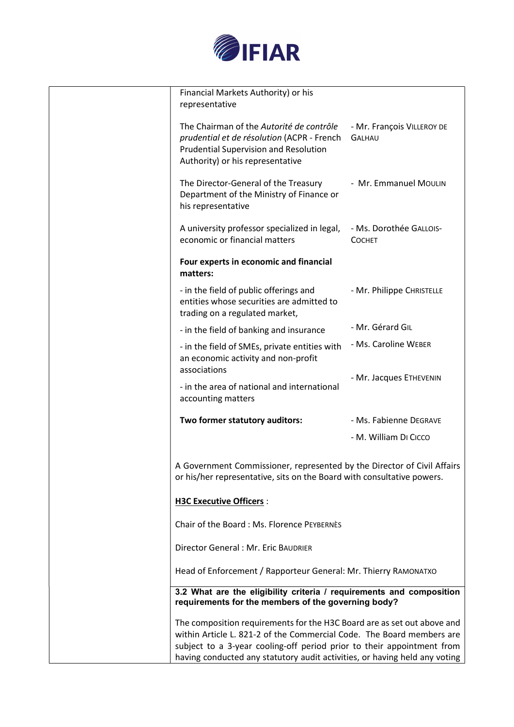

| Financial Markets Authority) or his<br>representative                                                                                                                      |                                             |
|----------------------------------------------------------------------------------------------------------------------------------------------------------------------------|---------------------------------------------|
| The Chairman of the Autorité de contrôle<br>prudential et de résolution (ACPR - French<br><b>Prudential Supervision and Resolution</b><br>Authority) or his representative | - Mr. François VILLEROY DE<br><b>GALHAU</b> |
| The Director-General of the Treasury<br>Department of the Ministry of Finance or<br>his representative                                                                     | - Mr. Emmanuel MOULIN                       |
| A university professor specialized in legal,<br>economic or financial matters                                                                                              | - Ms. Dorothée GALLOIS-<br><b>COCHET</b>    |
| Four experts in economic and financial<br>matters:                                                                                                                         |                                             |
| - in the field of public offerings and<br>entities whose securities are admitted to<br>trading on a regulated market,                                                      | - Mr. Philippe CHRISTELLE                   |
| - in the field of banking and insurance                                                                                                                                    | - Mr. Gérard GIL                            |
| - in the field of SMEs, private entities with<br>an economic activity and non-profit<br>associations                                                                       | - Ms. Caroline WEBER                        |
| - in the area of national and international<br>accounting matters                                                                                                          | - Mr. Jacques ETHEVENIN                     |
| Two former statutory auditors:                                                                                                                                             | - Ms. Fabienne DEGRAVE                      |
|                                                                                                                                                                            | - M. William DI CICCO                       |
| A Government Commissioner, represented by the Director of Civil Affairs<br>or his/her representative, sits on the Board with consultative powers.                          |                                             |
| <b>H3C Executive Officers:</b>                                                                                                                                             |                                             |
| Chair of the Board: Ms. Florence PEYBERNES                                                                                                                                 |                                             |
| Director General : Mr. Eric BAUDRIER                                                                                                                                       |                                             |
| Head of Enforcement / Rapporteur General: Mr. Thierry RAMONATXO                                                                                                            |                                             |
| 3.2 What are the eligibility criteria / requirements and composition<br>requirements for the members of the governing body?                                                |                                             |
| The composition requirements for the H3C Board are as set out above and                                                                                                    |                                             |
| within Article L. 821-2 of the Commercial Code. The Board members are                                                                                                      |                                             |
| subject to a 3-year cooling-off period prior to their appointment from                                                                                                     |                                             |
| having conducted any statutory audit activities, or having held any voting                                                                                                 |                                             |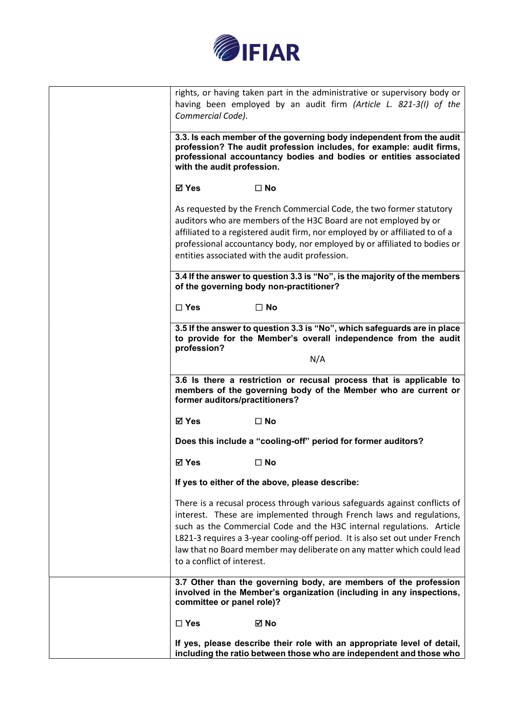

| rights, or having taken part in the administrative or supervisory body or                                                                                                                                                                                                                                                                                                                                           |
|---------------------------------------------------------------------------------------------------------------------------------------------------------------------------------------------------------------------------------------------------------------------------------------------------------------------------------------------------------------------------------------------------------------------|
| having been employed by an audit firm (Article L. 821-3(I) of the<br>Commercial Code).                                                                                                                                                                                                                                                                                                                              |
|                                                                                                                                                                                                                                                                                                                                                                                                                     |
| 3.3. Is each member of the governing body independent from the audit<br>profession? The audit profession includes, for example: audit firms,<br>professional accountancy bodies and bodies or entities associated<br>with the audit profession.                                                                                                                                                                     |
| ⊠ Yes<br>$\square$ No                                                                                                                                                                                                                                                                                                                                                                                               |
| As requested by the French Commercial Code, the two former statutory<br>auditors who are members of the H3C Board are not employed by or<br>affiliated to a registered audit firm, nor employed by or affiliated to of a<br>professional accountancy body, nor employed by or affiliated to bodies or<br>entities associated with the audit profession.                                                             |
| 3.4 If the answer to question 3.3 is "No", is the majority of the members<br>of the governing body non-practitioner?                                                                                                                                                                                                                                                                                                |
| $\Box$ Yes<br>$\Box$ No                                                                                                                                                                                                                                                                                                                                                                                             |
| 3.5 If the answer to question 3.3 is "No", which safeguards are in place<br>to provide for the Member's overall independence from the audit<br>profession?                                                                                                                                                                                                                                                          |
| N/A                                                                                                                                                                                                                                                                                                                                                                                                                 |
| 3.6 Is there a restriction or recusal process that is applicable to<br>members of the governing body of the Member who are current or<br>former auditors/practitioners?                                                                                                                                                                                                                                             |
| ⊠ Yes<br>$\square$ No                                                                                                                                                                                                                                                                                                                                                                                               |
| Does this include a "cooling-off" period for former auditors?                                                                                                                                                                                                                                                                                                                                                       |
| ⊠ Yes<br>$\square$ No                                                                                                                                                                                                                                                                                                                                                                                               |
| If yes to either of the above, please describe:                                                                                                                                                                                                                                                                                                                                                                     |
| There is a recusal process through various safeguards against conflicts of<br>interest. These are implemented through French laws and regulations,<br>such as the Commercial Code and the H3C internal regulations. Article<br>L821-3 requires a 3-year cooling-off period. It is also set out under French<br>law that no Board member may deliberate on any matter which could lead<br>to a conflict of interest. |
| 3.7 Other than the governing body, are members of the profession<br>involved in the Member's organization (including in any inspections,<br>committee or panel role)?                                                                                                                                                                                                                                               |
| $\square$ Yes<br>⊠ No                                                                                                                                                                                                                                                                                                                                                                                               |
| If yes, please describe their role with an appropriate level of detail,<br>including the ratio between those who are independent and those who                                                                                                                                                                                                                                                                      |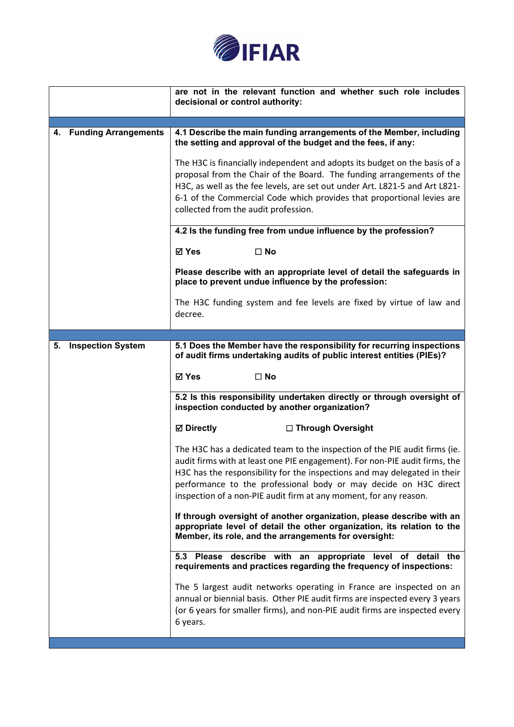

|    |                          | are not in the relevant function and whether such role includes<br>decisional or control authority:                                                                                                                                                                                                                                                                                                                                                                                                                                                                                                                                                                                                                     |  |
|----|--------------------------|-------------------------------------------------------------------------------------------------------------------------------------------------------------------------------------------------------------------------------------------------------------------------------------------------------------------------------------------------------------------------------------------------------------------------------------------------------------------------------------------------------------------------------------------------------------------------------------------------------------------------------------------------------------------------------------------------------------------------|--|
|    |                          |                                                                                                                                                                                                                                                                                                                                                                                                                                                                                                                                                                                                                                                                                                                         |  |
|    | 4. Funding Arrangements  | 4.1 Describe the main funding arrangements of the Member, including<br>the setting and approval of the budget and the fees, if any:<br>The H3C is financially independent and adopts its budget on the basis of a<br>proposal from the Chair of the Board. The funding arrangements of the<br>H3C, as well as the fee levels, are set out under Art. L821-5 and Art L821-<br>6-1 of the Commercial Code which provides that proportional levies are<br>collected from the audit profession.<br>4.2 Is the funding free from undue influence by the profession?<br>$\square$ No<br>⊠ Yes<br>Please describe with an appropriate level of detail the safeguards in<br>place to prevent undue influence by the profession: |  |
|    |                          | The H3C funding system and fee levels are fixed by virtue of law and<br>decree.                                                                                                                                                                                                                                                                                                                                                                                                                                                                                                                                                                                                                                         |  |
|    |                          |                                                                                                                                                                                                                                                                                                                                                                                                                                                                                                                                                                                                                                                                                                                         |  |
| 5. | <b>Inspection System</b> | 5.1 Does the Member have the responsibility for recurring inspections<br>of audit firms undertaking audits of public interest entities (PIEs)?                                                                                                                                                                                                                                                                                                                                                                                                                                                                                                                                                                          |  |
|    |                          | ⊠ Yes<br>$\square$ No                                                                                                                                                                                                                                                                                                                                                                                                                                                                                                                                                                                                                                                                                                   |  |
|    |                          | 5.2 Is this responsibility undertaken directly or through oversight of<br>inspection conducted by another organization?                                                                                                                                                                                                                                                                                                                                                                                                                                                                                                                                                                                                 |  |
|    |                          | <b>Ø</b> Directly<br>□ Through Oversight                                                                                                                                                                                                                                                                                                                                                                                                                                                                                                                                                                                                                                                                                |  |
|    |                          | The H3C has a dedicated team to the inspection of the PIE audit firms (ie.<br>audit firms with at least one PIE engagement). For non-PIE audit firms, the<br>H3C has the responsibility for the inspections and may delegated in their<br>performance to the professional body or may decide on H3C direct<br>inspection of a non-PIE audit firm at any moment, for any reason.                                                                                                                                                                                                                                                                                                                                         |  |
|    |                          | If through oversight of another organization, please describe with an<br>appropriate level of detail the other organization, its relation to the<br>Member, its role, and the arrangements for oversight:                                                                                                                                                                                                                                                                                                                                                                                                                                                                                                               |  |
|    |                          | Please describe with an appropriate<br>5.3<br>level<br>of detail the<br>requirements and practices regarding the frequency of inspections:                                                                                                                                                                                                                                                                                                                                                                                                                                                                                                                                                                              |  |
|    |                          | The 5 largest audit networks operating in France are inspected on an<br>annual or biennial basis. Other PIE audit firms are inspected every 3 years<br>(or 6 years for smaller firms), and non-PIE audit firms are inspected every<br>6 years.                                                                                                                                                                                                                                                                                                                                                                                                                                                                          |  |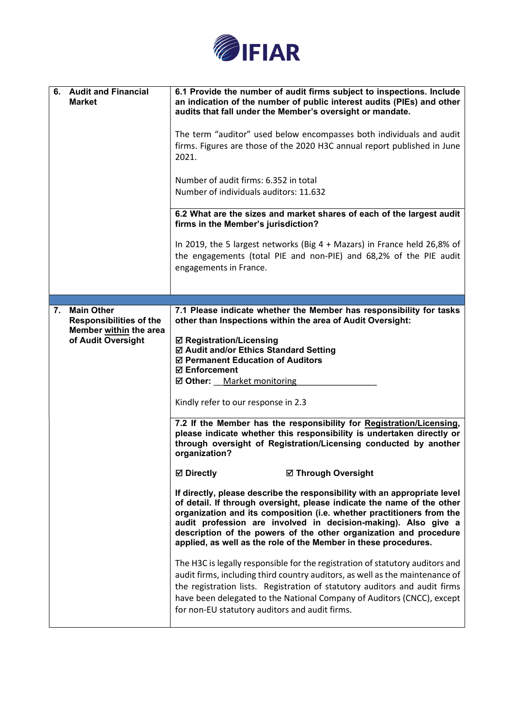

| 6. Audit and Financial<br><b>Market</b>                                                                   | 6.1 Provide the number of audit firms subject to inspections. Include<br>an indication of the number of public interest audits (PIEs) and other<br>audits that fall under the Member's oversight or mandate.<br>The term "auditor" used below encompasses both individuals and audit<br>firms. Figures are those of the 2020 H3C annual report published in June<br>2021.<br>Number of audit firms: 6.352 in total<br>Number of individuals auditors: 11.632<br>6.2 What are the sizes and market shares of each of the largest audit<br>firms in the Member's jurisdiction?<br>In 2019, the 5 largest networks (Big $4 +$ Mazars) in France held 26,8% of<br>the engagements (total PIE and non-PIE) and 68,2% of the PIE audit<br>engagements in France.                                                                                                                                                                                                                                                                                                                                                                                                                                                                                                                                                                                                                                                                                              |
|-----------------------------------------------------------------------------------------------------------|---------------------------------------------------------------------------------------------------------------------------------------------------------------------------------------------------------------------------------------------------------------------------------------------------------------------------------------------------------------------------------------------------------------------------------------------------------------------------------------------------------------------------------------------------------------------------------------------------------------------------------------------------------------------------------------------------------------------------------------------------------------------------------------------------------------------------------------------------------------------------------------------------------------------------------------------------------------------------------------------------------------------------------------------------------------------------------------------------------------------------------------------------------------------------------------------------------------------------------------------------------------------------------------------------------------------------------------------------------------------------------------------------------------------------------------------------------|
|                                                                                                           |                                                                                                                                                                                                                                                                                                                                                                                                                                                                                                                                                                                                                                                                                                                                                                                                                                                                                                                                                                                                                                                                                                                                                                                                                                                                                                                                                                                                                                                         |
| <b>Main Other</b><br>7.<br><b>Responsibilities of the</b><br>Member within the area<br>of Audit Oversight | 7.1 Please indicate whether the Member has responsibility for tasks<br>other than Inspections within the area of Audit Oversight:<br>☑ Registration/Licensing<br>☑ Audit and/or Ethics Standard Setting<br>☑ Permanent Education of Auditors<br><b>☑ Enforcement</b><br>☑ Other: Market monitoring<br>Kindly refer to our response in 2.3<br>7.2 If the Member has the responsibility for Registration/Licensing,<br>please indicate whether this responsibility is undertaken directly or<br>through oversight of Registration/Licensing conducted by another<br>organization?<br><b>⊠</b> Directly<br><b>☑ Through Oversight</b><br>If directly, please describe the responsibility with an appropriate level<br>of detail. If through oversight, please indicate the name of the other<br>organization and its composition (i.e. whether practitioners from the<br>audit profession are involved in decision-making). Also give a<br>description of the powers of the other organization and procedure<br>applied, as well as the role of the Member in these procedures.<br>The H3C is legally responsible for the registration of statutory auditors and<br>audit firms, including third country auditors, as well as the maintenance of<br>the registration lists. Registration of statutory auditors and audit firms<br>have been delegated to the National Company of Auditors (CNCC), except<br>for non-EU statutory auditors and audit firms. |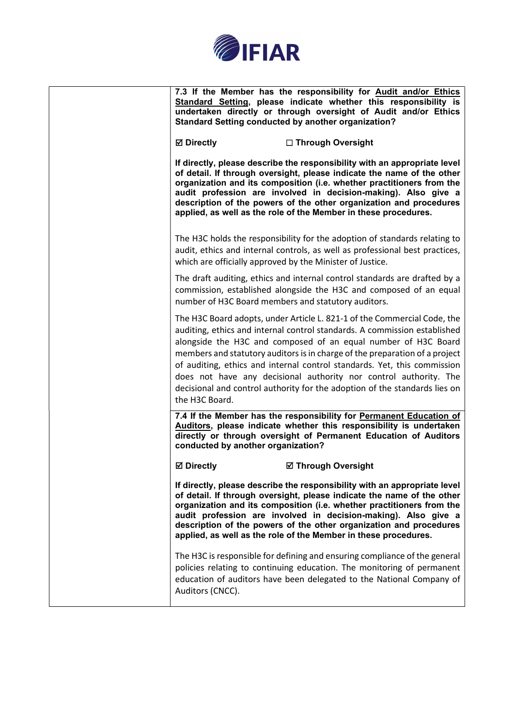

|                                    | 7.3 If the Member has the responsibility for Audit and/or Ethics<br>Standard Setting, please indicate whether this responsibility is<br>undertaken directly or through oversight of Audit and/or Ethics<br><b>Standard Setting conducted by another organization?</b>                                                                                                                                                                                                                                                                 |
|------------------------------------|---------------------------------------------------------------------------------------------------------------------------------------------------------------------------------------------------------------------------------------------------------------------------------------------------------------------------------------------------------------------------------------------------------------------------------------------------------------------------------------------------------------------------------------|
| <b>Ø</b> Directly                  | □ Through Oversight                                                                                                                                                                                                                                                                                                                                                                                                                                                                                                                   |
|                                    | If directly, please describe the responsibility with an appropriate level<br>of detail. If through oversight, please indicate the name of the other<br>organization and its composition (i.e. whether practitioners from the<br>audit profession are involved in decision-making). Also give a<br>description of the powers of the other organization and procedures<br>applied, as well as the role of the Member in these procedures.                                                                                               |
|                                    | The H3C holds the responsibility for the adoption of standards relating to<br>audit, ethics and internal controls, as well as professional best practices,<br>which are officially approved by the Minister of Justice.                                                                                                                                                                                                                                                                                                               |
|                                    | The draft auditing, ethics and internal control standards are drafted by a<br>commission, established alongside the H3C and composed of an equal<br>number of H3C Board members and statutory auditors.                                                                                                                                                                                                                                                                                                                               |
| the H3C Board.                     | The H3C Board adopts, under Article L. 821-1 of the Commercial Code, the<br>auditing, ethics and internal control standards. A commission established<br>alongside the H3C and composed of an equal number of H3C Board<br>members and statutory auditors is in charge of the preparation of a project<br>of auditing, ethics and internal control standards. Yet, this commission<br>does not have any decisional authority nor control authority. The<br>decisional and control authority for the adoption of the standards lies on |
| conducted by another organization? | 7.4 If the Member has the responsibility for Permanent Education of<br>Auditors, please indicate whether this responsibility is undertaken<br>directly or through oversight of Permanent Education of Auditors                                                                                                                                                                                                                                                                                                                        |
| <b>⊠</b> Directly                  | <b>Ø Through Oversight</b>                                                                                                                                                                                                                                                                                                                                                                                                                                                                                                            |
|                                    | If directly, please describe the responsibility with an appropriate level<br>of detail. If through oversight, please indicate the name of the other<br>organization and its composition (i.e. whether practitioners from the<br>audit profession are involved in decision-making). Also give a<br>description of the powers of the other organization and procedures<br>applied, as well as the role of the Member in these procedures.                                                                                               |
| Auditors (CNCC).                   | The H3C is responsible for defining and ensuring compliance of the general<br>policies relating to continuing education. The monitoring of permanent<br>education of auditors have been delegated to the National Company of                                                                                                                                                                                                                                                                                                          |